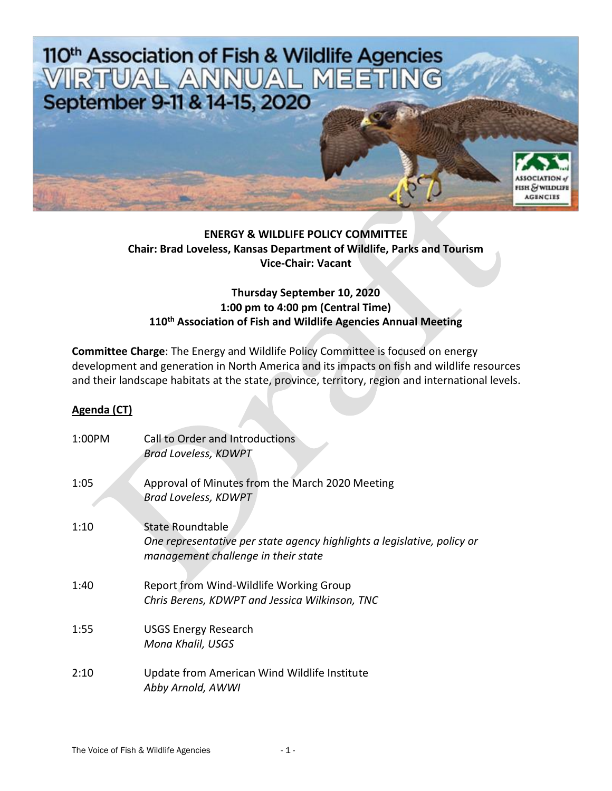

## **ENERGY & WILDLIFE POLICY COMMITTEE Chair: Brad Loveless, Kansas Department of Wildlife, Parks and Tourism Vice-Chair: Vacant**

## **Thursday September 10, 2020 1:00 pm to 4:00 pm (Central Time) 110th Association of Fish and Wildlife Agencies Annual Meeting**

**Committee Charge**: The Energy and Wildlife Policy Committee is focused on energy development and generation in North America and its impacts on fish and wildlife resources and their landscape habitats at the state, province, territory, region and international levels.

## **Agenda (CT)**

| 1:00PM | Call to Order and Introductions<br><b>Brad Loveless, KDWPT</b>                                                                            |
|--------|-------------------------------------------------------------------------------------------------------------------------------------------|
| 1:05   | Approval of Minutes from the March 2020 Meeting<br><b>Brad Loveless, KDWPT</b>                                                            |
| 1:10   | <b>State Roundtable</b><br>One representative per state agency highlights a legislative, policy or<br>management challenge in their state |
| 1:40   | Report from Wind-Wildlife Working Group<br>Chris Berens, KDWPT and Jessica Wilkinson, TNC                                                 |
| 1:55   | <b>USGS Energy Research</b><br>Mona Khalil, USGS                                                                                          |
| 2:10   | Update from American Wind Wildlife Institute<br>Abby Arnold, AWWI                                                                         |